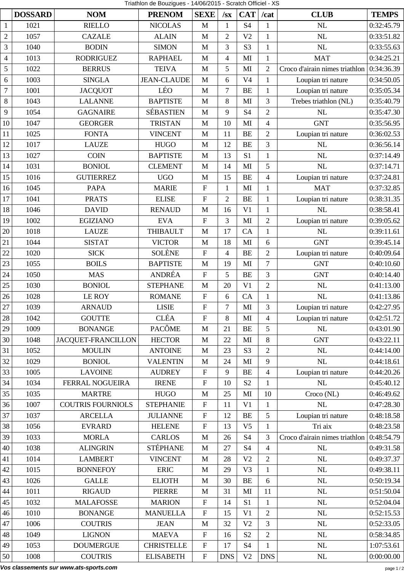Triathlon de Bouzigues - 14/06/2015 - Scratch Officiel - XS

|                |                |                           |                    | Triathion de Bouzigues - 14/06/2015 - Scratch Officiel - XS |                          |                        |                |                                |              |
|----------------|----------------|---------------------------|--------------------|-------------------------------------------------------------|--------------------------|------------------------|----------------|--------------------------------|--------------|
|                | <b>DOSSARD</b> | <b>NOM</b>                | <b>PRENOM</b>      | <b>SEXE</b>                                                 | / <sub>SX</sub>          | <b>CAT</b>             | /cat           | <b>CLUB</b>                    | <b>TEMPS</b> |
| $\mathbf{1}$   | 1021           | <b>RIELLO</b>             | <b>NICOLAS</b>     | $\mathbf M$                                                 | $\mathbf{1}$             | <b>S4</b>              | $\mathbf{1}$   | NL                             | 0:32:45.79   |
| $\mathfrak{2}$ | 1057           | <b>CAZALE</b>             | <b>ALAIN</b>       | $\mathbf M$                                                 | $\overline{2}$           | V <sub>2</sub>         | $\mathbf{1}$   | NL                             | 0:33:51.82   |
| 3              | 1040           | <b>BODIN</b>              | <b>SIMON</b>       | $\mathbf M$                                                 | 3                        | S <sub>3</sub>         | $\mathbf{1}$   | NL                             | 0:33:55.63   |
| $\overline{4}$ | 1013           | <b>RODRIGUEZ</b>          | <b>RAPHAEL</b>     | $\mathbf M$                                                 | $\overline{\mathcal{A}}$ | MI                     | $\mathbf{1}$   | <b>MAT</b>                     | 0:34:25.21   |
| 5              | 1022           | <b>BERRUS</b>             | <b>TEIVA</b>       | $\mathbf M$                                                 | 5                        | MI                     | $\overline{2}$ | Croco d'airain nimes triathlon | 0:34:36.39   |
| 6              | 1003           | <b>SINGLA</b>             | <b>JEAN-CLAUDE</b> | M                                                           | 6                        | V <sub>4</sub>         | $\mathbf{1}$   | Loupian tri nature             | 0:34:50.05   |
| $\overline{7}$ | 1001           | <b>JACQUOT</b>            | LÉO                | $\mathbf M$                                                 | $\tau$                   | <b>BE</b>              | $\mathbf{1}$   | Loupian tri nature             | 0:35:05.34   |
| 8              | 1043           | <b>LALANNE</b>            | <b>BAPTISTE</b>    | $\mathbf{M}$                                                | 8                        | MI                     | 3              | Trebes triathlon (NL)          | 0:35:40.79   |
| 9              | 1054           | <b>GAGNAIRE</b>           | <b>SÉBASTIEN</b>   | $\mathbf M$                                                 | 9                        | <b>S4</b>              | $\overline{2}$ | NL                             | 0:35:47.30   |
| 10             | 1047           | <b>GEORGER</b>            | <b>TRISTAN</b>     | $\mathbf M$                                                 | 10                       | MI                     | $\overline{4}$ | <b>GNT</b>                     | 0:35:56.95   |
| 11             | 1025           | <b>FONTA</b>              | <b>VINCENT</b>     | $\mathbf M$                                                 | 11                       | <b>BE</b>              | $\overline{2}$ | Loupian tri nature             | 0:36:02.53   |
| 12             | 1017           | <b>LAUZE</b>              | <b>HUGO</b>        | M                                                           | 12                       | <b>BE</b>              | 3              | NL                             | 0:36:56.14   |
| 13             | 1027           | <b>COIN</b>               | <b>BAPTISTE</b>    | $\mathbf M$                                                 | 13                       | S <sub>1</sub>         | $\mathbf{1}$   | NL                             | 0:37:14.49   |
| 14             | 1031           | <b>BONIOL</b>             | <b>CLEMENT</b>     | $\mathbf M$                                                 | 14                       | MI                     | 5              | NL                             | 0:37:14.71   |
| 15             | 1016           | <b>GUTIERREZ</b>          | <b>UGO</b>         | $\mathbf M$                                                 | 15                       | <b>BE</b>              | $\overline{4}$ | Loupian tri nature             | 0:37:24.81   |
| 16             | 1045           | <b>PAPA</b>               | <b>MARIE</b>       | ${\bf F}$                                                   | $\mathbf{1}$             | MI                     | $\mathbf{1}$   | <b>MAT</b>                     | 0:37:32.85   |
| 17             | 1041           | <b>PRATS</b>              | <b>ELISE</b>       | ${\bf F}$                                                   | $\overline{2}$           | <b>BE</b>              | 1              | Loupian tri nature             | 0:38:31.35   |
| 18             | 1046           | <b>DAVID</b>              | <b>RENAUD</b>      | M                                                           | 16                       | V <sub>1</sub>         | $\mathbf{1}$   | NL                             | 0:38:58.41   |
| 19             | 1002           | <b>EGIZIANO</b>           | <b>EVA</b>         | ${\bf F}$                                                   | 3                        | MI                     | $\overline{2}$ | Loupian tri nature             | 0:39:05.62   |
| 20             | 1018           | <b>LAUZE</b>              | <b>THIBAULT</b>    | M                                                           | 17                       | CA                     | $\mathbf{1}$   | <b>NL</b>                      | 0:39:11.61   |
| 21             | 1044           | <b>SISTAT</b>             | <b>VICTOR</b>      | $\mathbf M$                                                 | 18                       | MI                     | 6              | <b>GNT</b>                     | 0:39:45.14   |
| 22             | 1020           | <b>SICK</b>               | <b>SOLÈNE</b>      | ${\bf F}$                                                   | $\overline{\mathcal{A}}$ | <b>BE</b>              | $\overline{2}$ | Loupian tri nature             | 0:40:09.64   |
| 23             | 1055           | <b>BOILS</b>              | <b>BAPTISTE</b>    | M                                                           | 19                       | MI                     | $\overline{7}$ | <b>GNT</b>                     | 0:40:10.60   |
| 24             | 1050           | <b>MAS</b>                | ANDRÉA             | ${\bf F}$                                                   | 5                        | <b>BE</b>              | 3              | <b>GNT</b>                     | 0:40:14.40   |
| 25             | 1030           | <b>BONIOL</b>             | <b>STEPHANE</b>    | $\mathbf M$                                                 | 20                       | V <sub>1</sub>         | $\overline{2}$ | <b>NL</b>                      | 0:41:13.00   |
| 26             | 1028           | <b>LE ROY</b>             | <b>ROMANE</b>      | ${\bf F}$                                                   | 6                        | CA                     | $\mathbf{1}$   | NL                             | 0:41:13.86   |
| 27             | 1039           | <b>ARNAUD</b>             | ${\rm LISIE}$      | ${\bf F}$                                                   | $\overline{7}$           | $\mathbf{M}\mathbf{I}$ | 3              | Loupian tri nature             | 0:42:27.95   |
| 28             | 1042           | <b>GOUTTE</b>             | <b>CLÉA</b>        | ${\bf F}$                                                   | 8                        | $\mathbf{M}$           | $\overline{4}$ | Loupian tri nature             | 0:42:51.72   |
| 29             | 1009           | <b>BONANGE</b>            | <b>PACÔME</b>      | $\mathbf M$                                                 | 21                       | <b>BE</b>              | 5              | NL                             | 0:43:01.90   |
| 30             | 1048           | <b>JACQUET-FRANCILLON</b> | <b>HECTOR</b>      | $\mathbf M$                                                 | 22                       | MI                     | 8              | <b>GNT</b>                     | 0:43:22.11   |
| 31             | 1052           | <b>MOULIN</b>             | <b>ANTOINE</b>     | $\mathbf M$                                                 | 23                       | S <sub>3</sub>         | $\overline{2}$ | NL                             | 0:44:14.00   |
| 32             | 1029           | <b>BONIOL</b>             | <b>VALENTIN</b>    | $\mathbf{M}$                                                | 24                       | MI                     | 9              | <b>NL</b>                      | 0:44:18.61   |
| 33             | 1005           | <b>LAVOINE</b>            | <b>AUDREY</b>      | ${\bf F}$                                                   | 9                        | <b>BE</b>              | $\overline{4}$ | Loupian tri nature             | 0:44:20.26   |
| 34             | 1034           | <b>FERRAL NOGUEIRA</b>    | <b>IRENE</b>       | ${\bf F}$                                                   | 10                       | S <sub>2</sub>         | $\mathbf{1}$   | $\rm NL$                       | 0:45:40.12   |
| 35             | 1035           | <b>MARTRE</b>             | <b>HUGO</b>        | M                                                           | 25                       | MI                     | 10             | Croco (NL)                     | 0:46:49.62   |
| 36             | 1007           | <b>COUTRIS FOURNIOLS</b>  | <b>STEPHANIE</b>   | ${\bf F}$                                                   | 11                       | V <sub>1</sub>         | $\mathbf{1}$   | NL                             | 0:47:28.30   |
| 37             | 1037           | <b>ARCELLA</b>            | <b>JULIANNE</b>    | ${\bf F}$                                                   | 12                       | <b>BE</b>              | 5              | Loupian tri nature             | 0:48:18.58   |
| 38             | 1056           | <b>EVRARD</b>             | <b>HELENE</b>      | ${\bf F}$                                                   | 13                       | V <sub>5</sub>         | $\mathbf{1}$   | Tri aix                        | 0:48:23.58   |
| 39             | 1033           | <b>MORLA</b>              | <b>CARLOS</b>      | $\mathbf M$                                                 | 26                       | <b>S4</b>              | $\overline{3}$ | Croco d'airain nimes triathlon | 0:48:54.79   |
| 40             | 1038           | <b>ALINGRIN</b>           | <b>STÉPHANE</b>    | $\mathbf M$                                                 | 27                       | <b>S4</b>              | $\overline{4}$ | NL                             | 0:49:31.58   |
| 41             | 1014           | <b>LAMBERT</b>            | <b>VINCENT</b>     | $\mathbf{M}$                                                | 28                       | V <sub>2</sub>         | $\mathbf{2}$   | <b>NL</b>                      | 0:49:37.37   |
| 42             | 1015           | <b>BONNEFOY</b>           | <b>ERIC</b>        | $\mathbf M$                                                 | 29                       | V <sub>3</sub>         | $\mathbf{1}$   | NL                             | 0:49:38.11   |
| 43             | 1026           | <b>GALLE</b>              | <b>ELIOTH</b>      | $\mathbf M$                                                 | 30                       | <b>BE</b>              | 6              | NL                             | 0:50:19.34   |
| 44             | 1011           | <b>RIGAUD</b>             | <b>PIERRE</b>      | $\mathbf M$                                                 | 31                       | MI                     | 11             | <b>NL</b>                      | 0:51:50.04   |
| 45             | 1032           | <b>MALAFOSSE</b>          | <b>MARION</b>      | ${\bf F}$                                                   | 14                       | S <sub>1</sub>         | $\mathbf{1}$   | NL                             | 0:52:04.04   |
| 46             | 1010           | <b>BONANGE</b>            | <b>MANUELLA</b>    | ${\bf F}$                                                   | 15                       | V <sub>1</sub>         | $\overline{2}$ | NL                             | 0:52:15.53   |
| 47             | 1006           | <b>COUTRIS</b>            | <b>JEAN</b>        | $\mathbf M$                                                 | 32                       | V <sub>2</sub>         | 3              | <b>NL</b>                      | 0:52:33.05   |
| 48             | 1049           | <b>LIGNON</b>             | <b>MAEVA</b>       | ${\bf F}$                                                   | 16                       | S <sub>2</sub>         | $\overline{2}$ | $\rm NL$                       | 0:58:34.85   |
| 49             | 1053           | <b>DOUMERGUE</b>          | <b>CHRISTELLE</b>  | ${\bf F}$                                                   | 17                       | S <sub>4</sub>         | $\mathbf{1}$   | NL                             | 1:07:53.61   |
| 50             | 1008           | <b>COUTRIS</b>            | <b>ELISABETH</b>   | ${\bf F}$                                                   | <b>DNS</b>               | V <sub>2</sub>         | <b>DNS</b>     | NL                             | 0:00:00.00   |

**Vos classements sur www.ats-sports.com** page 1 / 2